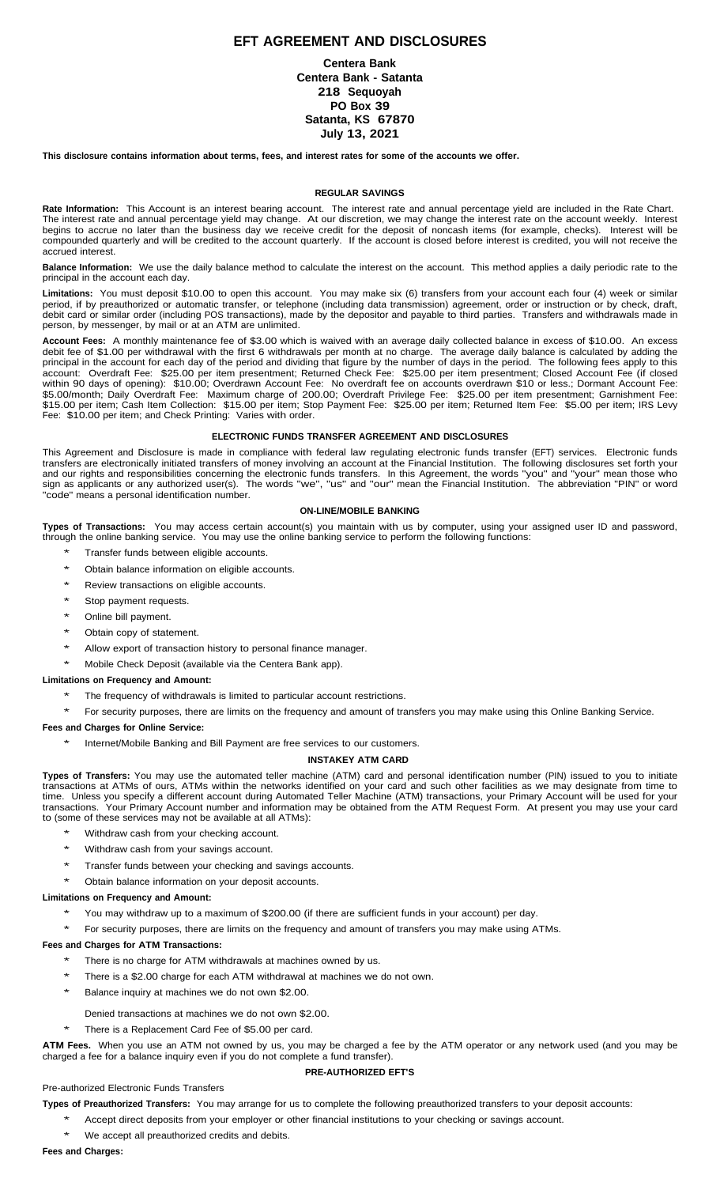# **EFT AGREEMENT AND DISCLOSURES**

**Centera Bank Centera Bank - Satanta 218 Sequoyah PO Box 39 Satanta, KS 67870 July 13, 2021**

This disclosure contains information about terms, fees, and interest rates for some of the accounts we offer.

### **REGULAR SAVINGS**

**Rate Information:** This Account is an interest bearing account. The interest rate and annual percentage yield are included in the Rate Chart. The interest rate and annual percentage yield may change. At our discretion, we may change the interest rate on the account weekly. Interest begins to accrue no later than the business day we receive credit for the deposit of noncash items (for example, checks). Interest will be compounded quarterly and will be credited to the account quarterly. If the account is closed before interest is credited, you will not receive the accrued interest.

**Balance Information:** We use the daily balance method to calculate the interest on the account. This method applies a daily periodic rate to the principal in the account each day.

**Limitations:** You must deposit \$10.00 to open this account. You may make six (6) transfers from your account each four (4) week or similar period, if by preauthorized or automatic transfer, or telephone (including data transmission) agreement, order or instruction or by check, draft, debit card or similar order (including POS transactions), made by the depositor and payable to third parties. Transfers and withdrawals made in person, by messenger, by mail or at an ATM are unlimited.

**Account Fees:** A monthly maintenance fee of \$3.00 which is waived with an average daily collected balance in excess of \$10.00. An excess debit fee of \$1.00 per withdrawal with the first 6 withdrawals per month at no charge. The average daily balance is calculated by adding the principal in the account for each day of the period and dividing that figure by the number of days in the period. The following fees apply to this account: Overdraft Fee: \$25.00 per item presentment; Returned Check Fee: \$25.00 per item presentment; Closed Account Fee (if closed within 90 days of opening): \$10.00; Overdrawn Account Fee: No overdraft fee on accounts overdrawn \$10 or less.; Dormant Account Fee: \$5.00/month; Daily Overdraft Fee: Maximum charge of 200.00; Overdraft Privilege Fee: \$25.00 per item presentment; Garnishment Fee: \$15.00 per item; Cash Item Collection: \$15.00 per item; Stop Payment Fee: \$25.00 per item; Returned Item Fee: \$5.00 per item; IRS Levy Fee: \$10.00 per item; and Check Printing: Varies with order.

#### **ELECTRONIC FUNDS TRANSFER AGREEMENT AND DISCLOSURES**

This Agreement and Disclosure is made in compliance with federal law regulating electronic funds transfer (EFT) services. Electronic funds transfers are electronically initiated transfers of money involving an account at the Financial Institution. The following disclosures set forth your and our rights and responsibilities concerning the electronic funds transfers. In this Agreement, the words "you" and "your" mean those who sign as applicants or any authorized user(s). The words "we", "us" and "our" mean the Financial Institution. The abbreviation "PIN" or word "code" means a personal identification number.

### **ON-LINE/MOBILE BANKING**

**Types of Transactions:** You may access certain account(s) you maintain with us by computer, using your assigned user ID and password, through the online banking service. You may use the online banking service to perform the following functions:

- \* Transfer funds between eligible accounts.
- Obtain balance information on eligible accounts.
- Review transactions on eligible accounts.
- Stop payment requests.
- Online bill payment.
- Obtain copy of statement.
- Allow export of transaction history to personal finance manager.
- Mobile Check Deposit (available via the Centera Bank app).

# **Limitations on Frequency and Amount:**

- The frequency of withdrawals is limited to particular account restrictions.
- For security purposes, there are limits on the frequency and amount of transfers you may make using this Online Banking Service.

## **Fees and Charges for Online Service:**

Internet/Mobile Banking and Bill Payment are free services to our customers.

## **INSTAKEY ATM CARD**

**Types of Transfers:** You may use the automated teller machine (ATM) card and personal identification number (PIN) issued to you to initiate transactions at ATMs of ours, ATMs within the networks identified on your card and such other facilities as we may designate from time to time. Unless you specify a different account during Automated Teller Machine (ATM) transactions, your Primary Account will be used for your transactions. Your Primary Account number and information may be obtained from the ATM Request Form. At present you may use your card to (some of these services may not be available at all ATMs):

- Withdraw cash from your checking account.
- Withdraw cash from your savings account.
- Transfer funds between your checking and savings accounts.
- Obtain balance information on your deposit accounts.

### **Limitations on Frequency and Amount:**

- You may withdraw up to a maximum of \$200.00 (if there are sufficient funds in your account) per day.
- For security purposes, there are limits on the frequency and amount of transfers you may make using ATMs.

## **Fees and Charges for ATM Transactions:**

- There is no charge for ATM withdrawals at machines owned by us.
- There is a \$2.00 charge for each ATM withdrawal at machines we do not own.
- Balance inquiry at machines we do not own \$2.00.
	- Denied transactions at machines we do not own \$2.00.
- There is a Replacement Card Fee of \$5.00 per card.

**ATM Fees.** When you use an ATM not owned by us, you may be charged a fee by the ATM operator or any network used (and you may be charged a fee for a balance inquiry even if you do not complete a fund transfer).

## **PRE-AUTHORIZED EFT'S**

# Pre-authorized Electronic Funds Transfers

- **Types of Preauthorized Transfers:** You may arrange for us to complete the following preauthorized transfers to your deposit accounts:
	- Accept direct deposits from your employer or other financial institutions to your checking or savings account.
	- We accept all preauthorized credits and debits.

#### **Fees and Charges:**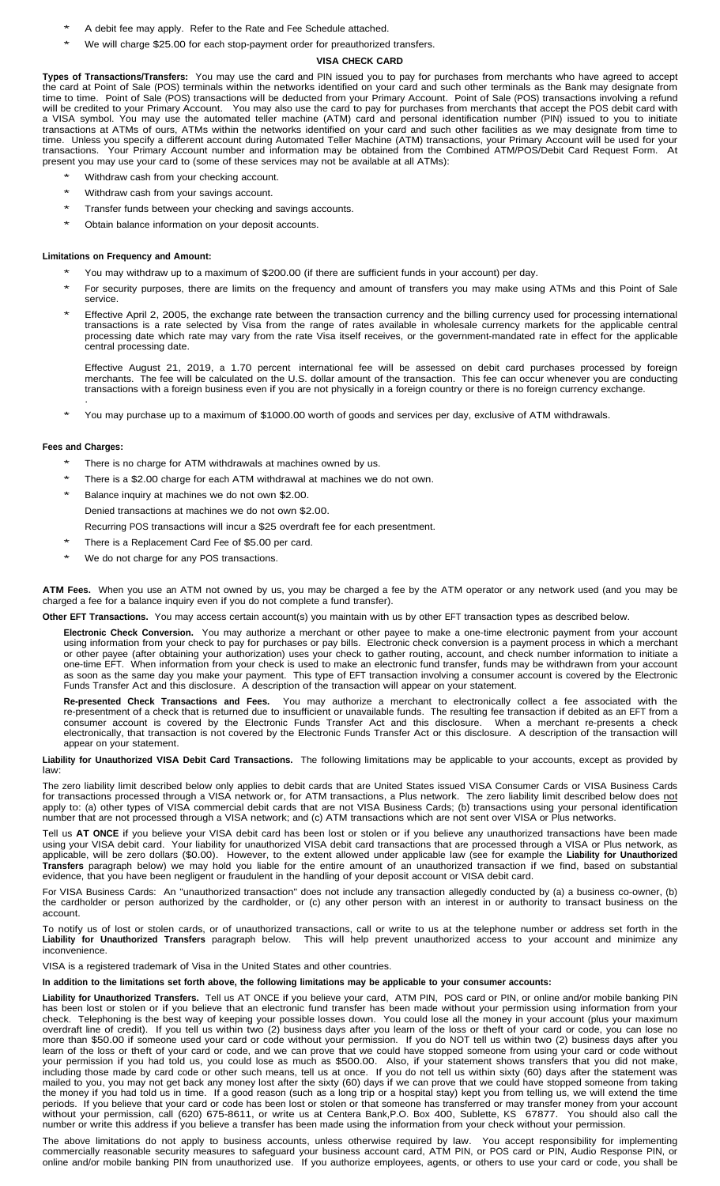- A debit fee may apply. Refer to the Rate and Fee Schedule attached.
- We will charge \$25.00 for each stop-payment order for preauthorized transfers.

# **VISA CHECK CARD**

**Types of Transactions/Transfers:** You may use the card and PIN issued you to pay for purchases from merchants who have agreed to accept the card at Point of Sale (POS) terminals within the networks identified on your card and such other terminals as the Bank may designate from time to time. Point of Sale (POS) transactions will be deducted from your Primary Account. Point of Sale (POS) transactions involving a refund will be credited to your Primary Account. You may also use the card to pay for purchases from merchants that accept the POS debit card with a VISA symbol. You may use the automated teller machine (ATM) card and personal identification number (PIN) issued to you to initiate transactions at ATMs of ours, ATMs within the networks identified on your card and such other facilities as we may designate from time to time. Unless you specify a different account during Automated Teller Machine (ATM) transactions, your Primary Account will be used for your transactions. Your Primary Account number and information may be obtained from the Combined ATM/POS/Debit Card Request Form. At present you may use your card to (some of these services may not be available at all ATMs):

- Withdraw cash from your checking account.
- Withdraw cash from your savings account.
- Transfer funds between your checking and savings accounts.
- Obtain balance information on your deposit accounts.

#### **Limitations on Frequency and Amount:**

- You may withdraw up to a maximum of \$200.00 (if there are sufficient funds in your account) per day.
- \* For security purposes, there are limits on the frequency and amount of transfers you may make using ATMs and this Point of Sale service.
- Effective April 2, 2005, the exchange rate between the transaction currency and the billing currency used for processing international transactions is a rate selected by Visa from the range of rates available in wholesale currency markets for the applicable central processing date which rate may vary from the rate Visa itself receives, or the government-mandated rate in effect for the applicable central processing date.

Effective August 21, 2019, a 1.70 percent international fee will be assessed on debit card purchases processed by foreign merchants. The fee will be calculated on the U.S. dollar amount of the transaction. This fee can occur whenever you are conducting transactions with a foreign business even if you are not physically in a foreign country or there is no foreign currency exchange. .

You may purchase up to a maximum of \$1000.00 worth of goods and services per day, exclusive of ATM withdrawals.

## **Fees and Charges:**

- There is no charge for ATM withdrawals at machines owned by us.
- There is a \$2.00 charge for each ATM withdrawal at machines we do not own.
- Balance inquiry at machines we do not own \$2.00. Denied transactions at machines we do not own \$2.00.
	- Recurring POS transactions will incur a \$25 overdraft fee for each presentment.
- There is a Replacement Card Fee of \$5.00 per card.
- We do not charge for any POS transactions.

**ATM Fees.** When you use an ATM not owned by us, you may be charged a fee by the ATM operator or any network used (and you may be charged a fee for a balance inquiry even if you do not complete a fund transfer).

**Other EFT Transactions.** You may access certain account(s) you maintain with us by other EFT transaction types as described below.

**Electronic Check Conversion.** You may authorize a merchant or other payee to make a one-time electronic payment from your account using information from your check to pay for purchases or pay bills. Electronic check conversion is a payment process in which a merchant or other payee (after obtaining your authorization) uses your check to gather routing, account, and check number information to initiate a one-time EFT. When information from your check is used to make an electronic fund transfer, funds may be withdrawn from your account as soon as the same day you make your payment. This type of EFT transaction involving a consumer account is covered by the Electronic Funds Transfer Act and this disclosure. A description of the transaction will appear on your statement.

**Re-presented Check Transactions and Fees.** You may authorize a merchant to electronically collect a fee associated with the re-presentment of a check that is returned due to insufficient or unavailable funds. The resulting fee transaction if debited as an EFT from a consumer account is covered by the Electronic Funds Transfer Act and this disclosure. When a merchant re-presents a check electronically, that transaction is not covered by the Electronic Funds Transfer Act or this disclosure. A description of the transaction will appear on your statement.

**Liability for Unauthorized VISA Debit Card Transactions.** The following limitations may be applicable to your accounts, except as provided by law:

The zero liability limit described below only applies to debit cards that are United States issued VISA Consumer Cards or VISA Business Cards for transactions processed through a VISA network or, for ATM transactions, a Plus network. The zero liability limit described below does not apply to: (a) other types of VISA commercial debit cards that are not VISA Business Cards; (b) transactions using your personal identification number that are not processed through a VISA network; and (c) ATM transactions which are not sent over VISA or Plus networks.

Tell us **AT ONCE** if you believe your VISA debit card has been lost or stolen or if you believe any unauthorized transactions have been made using your VISA debit card. Your liability for unauthorized VISA debit card transactions that are processed through a VISA or Plus network, as applicable, will be zero dollars (\$0.00). However, to the extent allowed under applicable law (see for example the **Liability for Unauthorized Transfers** paragraph below) we may hold you liable for the entire amount of an unauthorized transaction if we find, based on substantial evidence, that you have been negligent or fraudulent in the handling of your deposit account or VISA debit card.

For VISA Business Cards: An "unauthorized transaction" does not include any transaction allegedly conducted by (a) a business co-owner, (b) the cardholder or person authorized by the cardholder, or (c) any other person with an interest in or authority to transact business on the account.

To notify us of lost or stolen cards, or of unauthorized transactions, call or write to us at the telephone number or address set forth in the Liability for Unauthorized Transfers paragraph below. This will help prevent un This will help prevent unauthorized access to your account and minimize any inconvenience.

VISA is a registered trademark of Visa in the United States and other countries.

In addition to the limitations set forth above, the following limitations may be applicable to your consumer accounts:

**Liability for Unauthorized Transfers.** Tell us AT ONCE if you believe your card, ATM PIN, POS card or PIN, or online and/or mobile banking PIN has been lost or stolen or if you believe that an electronic fund transfer has been made without your permission using information from your check. Telephoning is the best way of keeping your possible losses down. You could lose all the money in your account (plus your maximum overdraft line of credit). If you tell us within two (2) business days after you learn of the loss or theft of your card or code, you can lose no more than \$50.00 if someone used your card or code without your permission. If you do NOT tell us within two (2) business days after you learn of the loss or theft of your card or code, and we can prove that we could have stopped someone from using your card or code without your permission if you had told us, you could lose as much as \$500.00. Also, if your statement shows transfers that you did not make, including those made by card code or other such means, tell us at once. If you do not tell us within sixty (60) days after the statement was mailed to you, you may not get back any money lost after the sixty (60) days if we can prove that we could have stopped someone from taking the money if you had told us in time. If a good reason (such as a long trip or a hospital stay) kept you from telling us, we will extend the time periods. If you believe that your card or code has been lost or stolen or that someone has transferred or may transfer money from your account without your permission, call (620) 675-8611, or write us at Centera Bank,P.O. Box 400, Sublette, KS 67877. You should also call the number or write this address if you believe a transfer has been made using the information from your check without your permission.

The above limitations do not apply to business accounts, unless otherwise required by law. You accept responsibility for implementing commercially reasonable security measures to safeguard your business account card, ATM PIN, or POS card or PIN, Audio Response PIN, or online and/or mobile banking PIN from unauthorized use. If you authorize employees, agents, or others to use your card or code, you shall be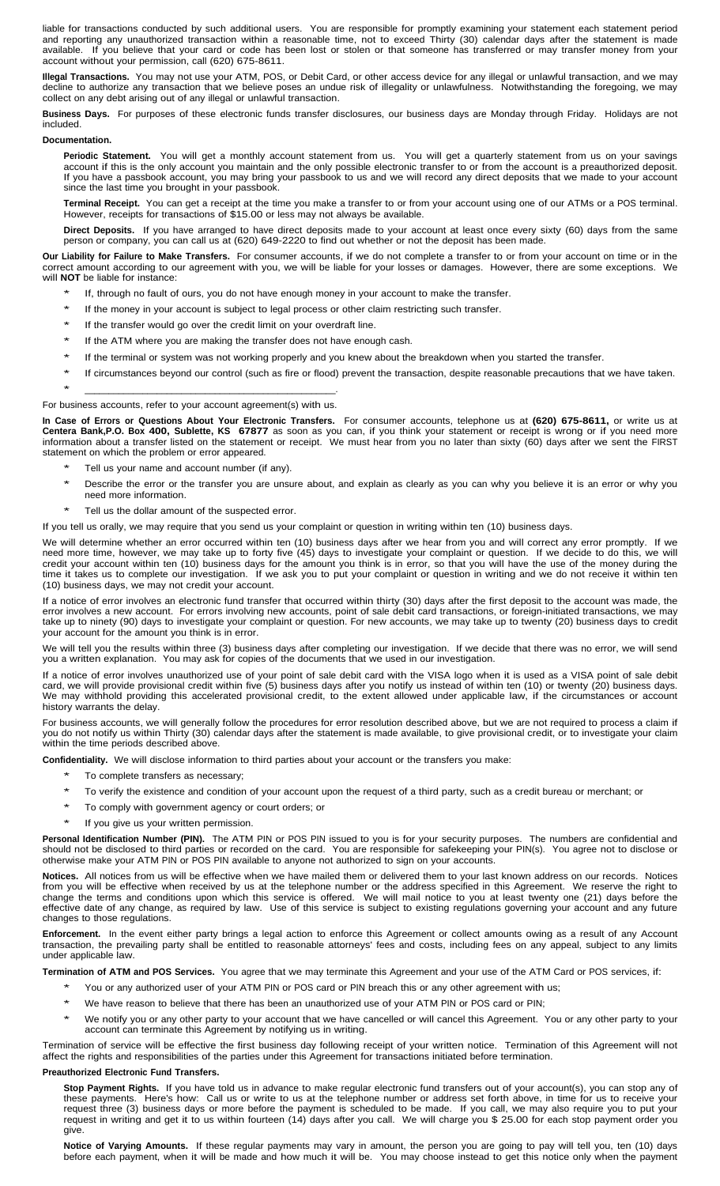liable for transactions conducted by such additional users. You are responsible for promptly examining your statement each statement period and reporting any unauthorized transaction within a reasonable time, not to exceed Thirty (30) calendar days after the statement is made available. If you believe that your card or code has been lost or stolen or that someone has transferred or may transfer money from your account without your permission, call (620) 675-8611.

**Illegal Transactions.** You may not use your ATM, POS, or Debit Card, or other access device for any illegal or unlawful transaction, and we may decline to authorize any transaction that we believe poses an undue risk of illegality or unlawfulness. Notwithstanding the foregoing, we may collect on any debt arising out of any illegal or unlawful transaction.

**Business Days.** For purposes of these electronic funds transfer disclosures, our business days are Monday through Friday. Holidays are not included.

#### **Documentation.**

**Periodic Statement.** You will get a monthly account statement from us. You will get a quarterly statement from us on your savings account if this is the only account you maintain and the only possible electronic transfer to or from the account is a preauthorized deposit. If you have a passbook account, you may bring your passbook to us and we will record any direct deposits that we made to your account since the last time you brought in your passbook.

**Terminal Receipt.** You can get a receipt at the time you make a transfer to or from your account using one of our ATMs or a POS terminal. However, receipts for transactions of \$15.00 or less may not always be available.

**Direct Deposits.** If you have arranged to have direct deposits made to your account at least once every sixty (60) days from the same person or company, you can call us at (620) 649-2220 to find out whether or not the deposit has been made.

**Our Liability for Failure to Make Transfers.** For consumer accounts, if we do not complete a transfer to or from your account on time or in the correct amount according to our agreement with you, we will be liable for your losses or damages. However, there are some exceptions. We will **NOT** be liable for instance:

- If, through no fault of ours, you do not have enough money in your account to make the transfer.
- If the money in your account is subject to legal process or other claim restricting such transfer.
- If the transfer would go over the credit limit on your overdraft line.
- If the ATM where you are making the transfer does not have enough cash.
- If the terminal or system was not working properly and you knew about the breakdown when you started the transfer.
- If circumstances beyond our control (such as fire or flood) prevent the transaction, despite reasonable precautions that we have taken. \* \_\_\_\_\_\_\_\_\_\_\_\_\_\_\_\_\_\_\_\_\_\_\_\_\_\_\_\_\_\_\_\_\_\_\_\_\_\_\_\_\_\_\_\_\_\_\_\_\_\_\_\_.

# For business accounts, refer to your account agreement(s) with us.

**In Case of Errors or Questions About Your Electronic Transfers.** For consumer accounts, telephone us at **(620) 675-8611,** or write us at **Centera Bank,P.O. Box 400, Sublette, KS 67877** as soon as you can, if you think your statement or receipt is wrong or if you need more information about a transfer listed on the statement or receipt. We must hear from you no later than sixty (60) days after we sent the FIRST statement on which the problem or error appeared.

- Tell us your name and account number (if any).
- Describe the error or the transfer you are unsure about, and explain as clearly as you can why you believe it is an error or why you need more information.
- Tell us the dollar amount of the suspected error.

If you tell us orally, we may require that you send us your complaint or question in writing within ten (10) business days.

We will determine whether an error occurred within ten (10) business days after we hear from you and will correct any error promptly. If we need more time, however, we may take up to forty five (45) days to investigate your complaint or question. If we decide to do this, we will credit your account within ten (10) business days for the amount you think is in error, so that you will have the use of the money during the time it takes us to complete our investigation. If we ask you to put your complaint or question in writing and we do not receive it within ten (10) business days, we may not credit your account.

If a notice of error involves an electronic fund transfer that occurred within thirty (30) days after the first deposit to the account was made, the error involves a new account. For errors involving new accounts, point of sale debit card transactions, or foreign-initiated transactions, we may take up to ninety (90) days to investigate your complaint or question. For new accounts, we may take up to twenty (20) business days to credit your account for the amount you think is in error.

We will tell you the results within three (3) business days after completing our investigation. If we decide that there was no error, we will send you a written explanation. You may ask for copies of the documents that we used in our investigation.

If a notice of error involves unauthorized use of your point of sale debit card with the VISA logo when it is used as a VISA point of sale debit card, we will provide provisional credit within five (5) business days after you notify us instead of within ten (10) or twenty (20) business days. We may withhold providing this accelerated provisional credit, to the extent allowed under applicable law, if the circumstances or account history warrants the delay.

For business accounts, we will generally follow the procedures for error resolution described above, but we are not required to process a claim if you do not notify us within Thirty (30) calendar days after the statement is made available, to give provisional credit, or to investigate your claim within the time periods described above.

**Confidentiality.** We will disclose information to third parties about your account or the transfers you make:

- To complete transfers as necessary;
- To verify the existence and condition of your account upon the request of a third party, such as a credit bureau or merchant; or
- To comply with government agency or court orders; or
- If you give us your written permission.

**Personal Identification Number (PIN).** The ATM PIN or POS PIN issued to you is for your security purposes. The numbers are confidential and should not be disclosed to third parties or recorded on the card. You are responsible for safekeeping your PIN(s). You agree not to disclose or otherwise make your ATM PIN or POS PIN available to anyone not authorized to sign on your accounts.

**Notices.** All notices from us will be effective when we have mailed them or delivered them to your last known address on our records. Notices from you will be effective when received by us at the telephone number or the address specified in this Agreement. We reserve the right to change the terms and conditions upon which this service is offered. We will mail notice to you at least twenty one (21) days before the effective date of any change, as required by law. Use of this service is subject to existing regulations governing your account and any future changes to those regulations.

**Enforcement.** In the event either party brings a legal action to enforce this Agreement or collect amounts owing as a result of any Account transaction, the prevailing party shall be entitled to reasonable attorneys' fees and costs, including fees on any appeal, subject to any limits under applicable law.

**Termination of ATM and POS Services.** You agree that we may terminate this Agreement and your use of the ATM Card or POS services, if:

- You or any authorized user of your ATM PIN or POS card or PIN breach this or any other agreement with us;
- We have reason to believe that there has been an unauthorized use of your ATM PIN or POS card or PIN;
- We notify you or any other party to your account that we have cancelled or will cancel this Agreement. You or any other party to your account can terminate this Agreement by notifying us in writing.

Termination of service will be effective the first business day following receipt of your written notice. Termination of this Agreement will not affect the rights and responsibilities of the parties under this Agreement for transactions initiated before termination.

#### **Preauthorized Electronic Fund Transfers.**

**Stop Payment Rights.** If you have told us in advance to make regular electronic fund transfers out of your account(s), you can stop any of these payments. Here's how: Call us or write to us at the telephone number or addr Here's how: Call us or write to us at the telephone number or address set forth above, in time for us to receive your request three (3) business days or more before the payment is scheduled to be made. If you call, we may also require you to put your request in writing and get it to us within fourteen (14) days after you call. We will charge you \$ 25.00 for each stop payment order you give.

**Notice of Varying Amounts.** If these regular payments may vary in amount, the person you are going to pay will tell you, ten (10) days before each payment, when it will be made and how much it will be. You may choose instead to get this notice only when the payment